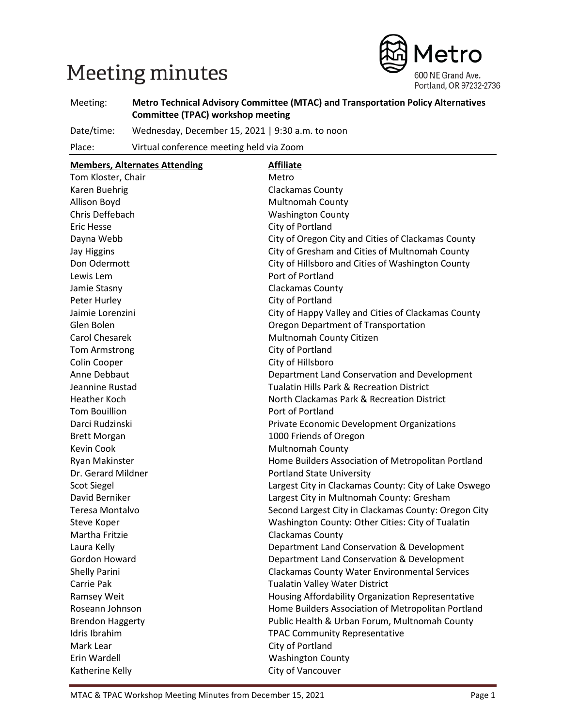# Meeting minutes



Meeting: **Metro Technical Advisory Committee (MTAC) and Transportation Policy Alternatives Committee (TPAC) workshop meeting**

Date/time: Wednesday, December 15, 2021 | 9:30 a.m. to noon

Place: Virtual conference meeting held via Zoom

| <b>Members, Alternates Attending</b>                                     | <b>Affiliate</b>                                      |  |
|--------------------------------------------------------------------------|-------------------------------------------------------|--|
| Tom Kloster, Chair                                                       | Metro                                                 |  |
| Karen Buehrig                                                            | <b>Clackamas County</b>                               |  |
| Allison Boyd                                                             | Multnomah County                                      |  |
| Chris Deffebach                                                          | <b>Washington County</b>                              |  |
| <b>Eric Hesse</b>                                                        | City of Portland                                      |  |
| Dayna Webb                                                               | City of Oregon City and Cities of Clackamas County    |  |
| <b>Jay Higgins</b>                                                       | City of Gresham and Cities of Multnomah County        |  |
| Don Odermott                                                             | City of Hillsboro and Cities of Washington County     |  |
| Lewis Lem                                                                | Port of Portland                                      |  |
| Jamie Stasny                                                             | Clackamas County                                      |  |
| Peter Hurley                                                             | City of Portland                                      |  |
| Jaimie Lorenzini                                                         | City of Happy Valley and Cities of Clackamas County   |  |
| Glen Bolen                                                               | Oregon Department of Transportation                   |  |
| <b>Carol Chesarek</b>                                                    | Multnomah County Citizen                              |  |
| <b>Tom Armstrong</b>                                                     | City of Portland                                      |  |
| Colin Cooper                                                             | City of Hillsboro                                     |  |
| Anne Debbaut                                                             | Department Land Conservation and Development          |  |
| Jeannine Rustad                                                          | <b>Tualatin Hills Park &amp; Recreation District</b>  |  |
| Heather Koch                                                             | North Clackamas Park & Recreation District            |  |
| <b>Tom Bouillion</b>                                                     | Port of Portland                                      |  |
| Darci Rudzinski                                                          | Private Economic Development Organizations            |  |
| <b>Brett Morgan</b>                                                      | 1000 Friends of Oregon                                |  |
| <b>Kevin Cook</b>                                                        | <b>Multnomah County</b>                               |  |
| Ryan Makinster                                                           | Home Builders Association of Metropolitan Portland    |  |
| Dr. Gerard Mildner                                                       | <b>Portland State University</b>                      |  |
| <b>Scot Siegel</b>                                                       | Largest City in Clackamas County: City of Lake Oswego |  |
| David Berniker                                                           | Largest City in Multnomah County: Gresham             |  |
| Teresa Montalvo                                                          | Second Largest City in Clackamas County: Oregon City  |  |
| Steve Koper                                                              | Washington County: Other Cities: City of Tualatin     |  |
| Martha Fritzie                                                           | Clackamas County                                      |  |
| Laura Kelly                                                              | Department Land Conservation & Development            |  |
| Gordon Howard                                                            | Department Land Conservation & Development            |  |
| <b>Shelly Parini</b>                                                     | <b>Clackamas County Water Environmental Services</b>  |  |
| Carrie Pak                                                               | <b>Tualatin Valley Water District</b>                 |  |
| Ramsey Weit                                                              | Housing Affordability Organization Representative     |  |
| Roseann Johnson                                                          | Home Builders Association of Metropolitan Portland    |  |
| Public Health & Urban Forum, Multnomah County<br><b>Brendon Haggerty</b> |                                                       |  |
| Idris Ibrahim                                                            | <b>TPAC Community Representative</b>                  |  |
| Mark Lear                                                                | City of Portland                                      |  |
| Erin Wardell                                                             | <b>Washington County</b>                              |  |
| Katherine Kelly                                                          | City of Vancouver                                     |  |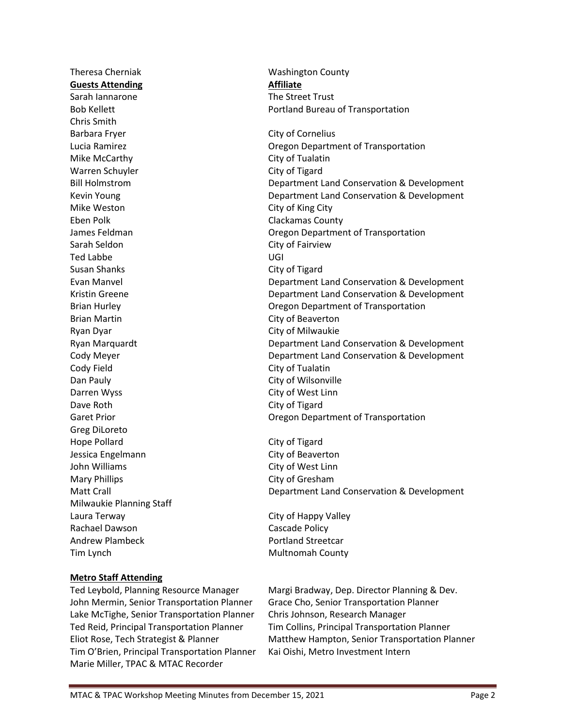Theresa Cherniak Washington County **Guests Attending Affiliate** Sarah Iannarone The Street Trust Chris Smith Barbara Fryer City of Cornelius Mike McCarthy **City of Tualatin** Warren Schuyler **City of Tigard** Mike Weston **City of King City** Eben Polk **Clackamas County** Sarah Seldon **City of Fairview** Ted Labbe UGI Susan Shanks City of Tigard Brian Martin **City of Beaverton** Ryan Dyar **City of Milwaukie** Cody Field Cody Field Dan Pauly **Dan Pauly City of Wilsonville** Darren Wyss City of West Linn Dave Roth City of Tigard Greg DiLoreto Hope Pollard **City of Tigard** Jessica Engelmann City of Beaverton John Williams City of West Linn Mary Phillips **City of Gresham** Milwaukie Planning Staff Laura Terway City of Happy Valley Rachael Dawson **Cascade Policy** Andrew Plambeck **Portland Streetcar** Tim Lynch **Multnomah County** 

#### **Metro Staff Attending**

Ted Leybold, Planning Resource Manager Margi Bradway, Dep. Director Planning & Dev. John Mermin, Senior Transportation Planner Grace Cho, Senior Transportation Planner Lake McTighe, Senior Transportation Planner Chris Johnson, Research Manager Ted Reid, Principal Transportation Planner Tim Collins, Principal Transportation Planner Tim O'Brien, Principal Transportation Planner Kai Oishi, Metro Investment Intern Marie Miller, TPAC & MTAC Recorder

Bob Kellett **Portland Bureau of Transportation** 

Lucia Ramirez Oregon Department of Transportation Bill Holmstrom Department Land Conservation & Development Kevin Young Department Land Conservation & Development James Feldman Oregon Department of Transportation Evan Manvel Department Land Conservation & Development Kristin Greene Department Land Conservation & Development Brian Hurley Oregon Department of Transportation Ryan Marquardt Department Land Conservation & Development Cody Meyer Department Land Conservation & Development Garet Prior **Caret Prior** Cregon Department of Transportation

Matt Crall Department Land Conservation & Development

Eliot Rose, Tech Strategist & Planner Matthew Hampton, Senior Transportation Planner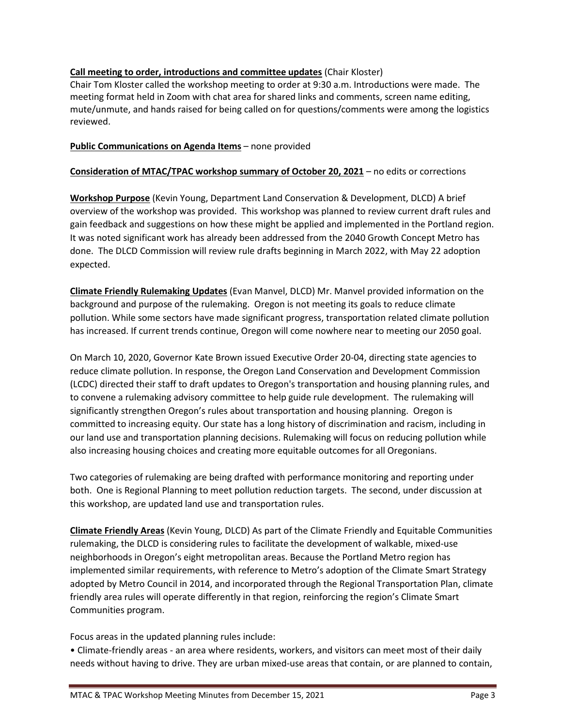#### **Call meeting to order, introductions and committee updates** (Chair Kloster)

Chair Tom Kloster called the workshop meeting to order at 9:30 a.m. Introductions were made. The meeting format held in Zoom with chat area for shared links and comments, screen name editing, mute/unmute, and hands raised for being called on for questions/comments were among the logistics reviewed.

#### **Public Communications on Agenda Items** – none provided

#### **Consideration of MTAC/TPAC workshop summary of October 20, 2021** – no edits or corrections

**Workshop Purpose** (Kevin Young, Department Land Conservation & Development, DLCD) A brief overview of the workshop was provided. This workshop was planned to review current draft rules and gain feedback and suggestions on how these might be applied and implemented in the Portland region. It was noted significant work has already been addressed from the 2040 Growth Concept Metro has done. The DLCD Commission will review rule drafts beginning in March 2022, with May 22 adoption expected.

**Climate Friendly Rulemaking Updates** (Evan Manvel, DLCD) Mr. Manvel provided information on the background and purpose of the rulemaking. Oregon is not meeting its goals to reduce climate pollution. While some sectors have made significant progress, transportation related climate pollution has increased. If current trends continue, Oregon will come nowhere near to meeting our 2050 goal.

On March 10, 2020, Governor Kate Brown issued Executive Order 20-04, directing state agencies to reduce climate pollution. In response, the Oregon Land Conservation and Development Commission (LCDC) directed their staff to draft updates to Oregon's transportation and housing planning rules, and to convene a rulemaking advisory committee to help guide rule development. The rulemaking will significantly strengthen Oregon's rules about transportation and housing planning. Oregon is committed to increasing equity. Our state has a long history of discrimination and racism, including in our land use and transportation planning decisions. Rulemaking will focus on reducing pollution while also increasing housing choices and creating more equitable outcomes for all Oregonians.

Two categories of rulemaking are being drafted with performance monitoring and reporting under both. One is Regional Planning to meet pollution reduction targets. The second, under discussion at this workshop, are updated land use and transportation rules.

**Climate Friendly Areas** (Kevin Young, DLCD) As part of the Climate Friendly and Equitable Communities rulemaking, the DLCD is considering rules to facilitate the development of walkable, mixed-use neighborhoods in Oregon's eight metropolitan areas. Because the Portland Metro region has implemented similar requirements, with reference to Metro's adoption of the Climate Smart Strategy adopted by Metro Council in 2014, and incorporated through the Regional Transportation Plan, climate friendly area rules will operate differently in that region, reinforcing the region's Climate Smart Communities program.

#### Focus areas in the updated planning rules include:

• Climate-friendly areas - an area where residents, workers, and visitors can meet most of their daily needs without having to drive. They are urban mixed-use areas that contain, or are planned to contain,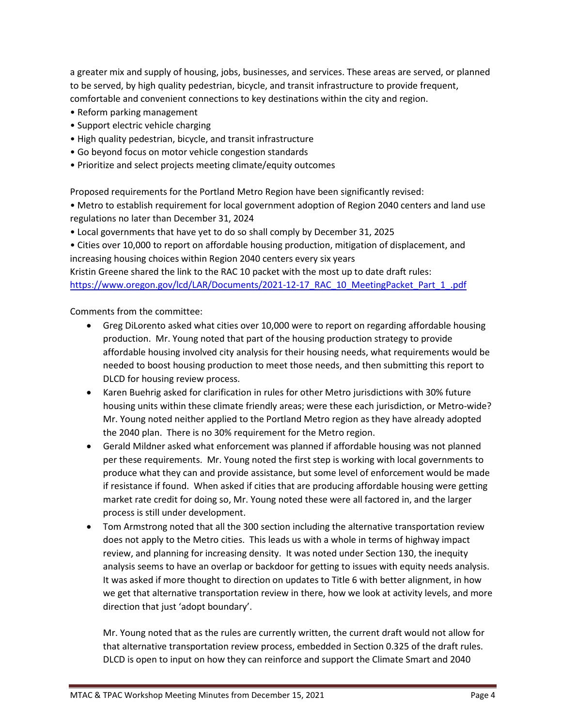a greater mix and supply of housing, jobs, businesses, and services. These areas are served, or planned to be served, by high quality pedestrian, bicycle, and transit infrastructure to provide frequent, comfortable and convenient connections to key destinations within the city and region.

- Reform parking management
- Support electric vehicle charging
- High quality pedestrian, bicycle, and transit infrastructure
- Go beyond focus on motor vehicle congestion standards
- Prioritize and select projects meeting climate/equity outcomes

Proposed requirements for the Portland Metro Region have been significantly revised:

• Metro to establish requirement for local government adoption of Region 2040 centers and land use regulations no later than December 31, 2024

• Local governments that have yet to do so shall comply by December 31, 2025

• Cities over 10,000 to report on affordable housing production, mitigation of displacement, and increasing housing choices within Region 2040 centers every six years

Kristin Greene shared the link to the RAC 10 packet with the most up to date draft rules: [https://www.oregon.gov/lcd/LAR/Documents/2021-12-17\\_RAC\\_10\\_MeetingPacket\\_Part\\_1\\_.pdf](https://www.oregon.gov/lcd/LAR/Documents/2021-12-17_RAC_10_MeetingPacket_Part_1_.pdf)

Comments from the committee:

- Greg DiLorento asked what cities over 10,000 were to report on regarding affordable housing production. Mr. Young noted that part of the housing production strategy to provide affordable housing involved city analysis for their housing needs, what requirements would be needed to boost housing production to meet those needs, and then submitting this report to DLCD for housing review process.
- Karen Buehrig asked for clarification in rules for other Metro jurisdictions with 30% future housing units within these climate friendly areas; were these each jurisdiction, or Metro-wide? Mr. Young noted neither applied to the Portland Metro region as they have already adopted the 2040 plan. There is no 30% requirement for the Metro region.
- Gerald Mildner asked what enforcement was planned if affordable housing was not planned per these requirements. Mr. Young noted the first step is working with local governments to produce what they can and provide assistance, but some level of enforcement would be made if resistance if found. When asked if cities that are producing affordable housing were getting market rate credit for doing so, Mr. Young noted these were all factored in, and the larger process is still under development.
- Tom Armstrong noted that all the 300 section including the alternative transportation review does not apply to the Metro cities. This leads us with a whole in terms of highway impact review, and planning for increasing density. It was noted under Section 130, the inequity analysis seems to have an overlap or backdoor for getting to issues with equity needs analysis. It was asked if more thought to direction on updates to Title 6 with better alignment, in how we get that alternative transportation review in there, how we look at activity levels, and more direction that just 'adopt boundary'.

Mr. Young noted that as the rules are currently written, the current draft would not allow for that alternative transportation review process, embedded in Section 0.325 of the draft rules. DLCD is open to input on how they can reinforce and support the Climate Smart and 2040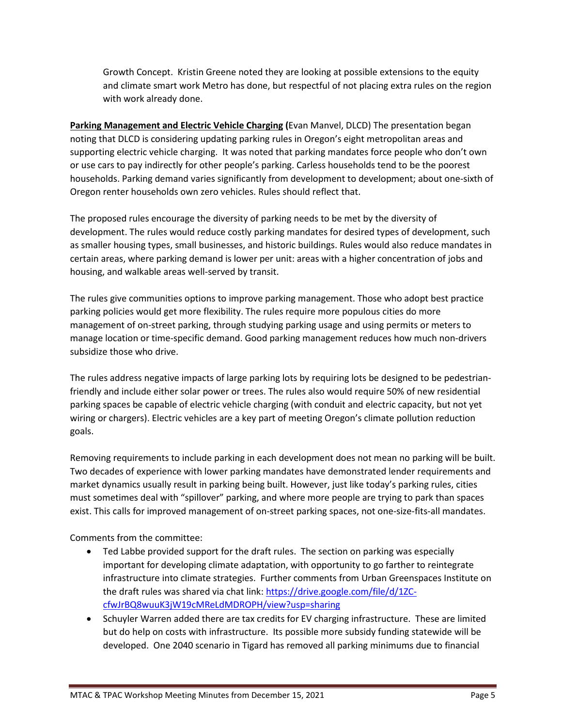Growth Concept. Kristin Greene noted they are looking at possible extensions to the equity and climate smart work Metro has done, but respectful of not placing extra rules on the region with work already done.

**Parking Management and Electric Vehicle Charging (**Evan Manvel, DLCD) The presentation began noting that DLCD is considering updating parking rules in Oregon's eight metropolitan areas and supporting electric vehicle charging. It was noted that parking mandates force people who don't own or use cars to pay indirectly for other people's parking. Carless households tend to be the poorest households. Parking demand varies significantly from development to development; about one-sixth of Oregon renter households own zero vehicles. Rules should reflect that.

The proposed rules encourage the diversity of parking needs to be met by the diversity of development. The rules would reduce costly parking mandates for desired types of development, such as smaller housing types, small businesses, and historic buildings. Rules would also reduce mandates in certain areas, where parking demand is lower per unit: areas with a higher concentration of jobs and housing, and walkable areas well-served by transit.

The rules give communities options to improve parking management. Those who adopt best practice parking policies would get more flexibility. The rules require more populous cities do more management of on-street parking, through studying parking usage and using permits or meters to manage location or time-specific demand. Good parking management reduces how much non-drivers subsidize those who drive.

The rules address negative impacts of large parking lots by requiring lots be designed to be pedestrianfriendly and include either solar power or trees. The rules also would require 50% of new residential parking spaces be capable of electric vehicle charging (with conduit and electric capacity, but not yet wiring or chargers). Electric vehicles are a key part of meeting Oregon's climate pollution reduction goals.

Removing requirements to include parking in each development does not mean no parking will be built. Two decades of experience with lower parking mandates have demonstrated lender requirements and market dynamics usually result in parking being built. However, just like today's parking rules, cities must sometimes deal with "spillover" parking, and where more people are trying to park than spaces exist. This calls for improved management of on-street parking spaces, not one-size-fits-all mandates.

Comments from the committee:

- Ted Labbe provided support for the draft rules. The section on parking was especially important for developing climate adaptation, with opportunity to go farther to reintegrate infrastructure into climate strategies. Further comments from Urban Greenspaces Institute on the draft rules was shared via chat link: [https://drive.google.com/file/d/1ZC](https://drive.google.com/file/d/1ZC-cfwJrBQ8wuuK3jW19cMReLdMDROPH/view?usp=sharing)[cfwJrBQ8wuuK3jW19cMReLdMDROPH/view?usp=sharing](https://drive.google.com/file/d/1ZC-cfwJrBQ8wuuK3jW19cMReLdMDROPH/view?usp=sharing)
- Schuyler Warren added there are tax credits for EV charging infrastructure. These are limited but do help on costs with infrastructure. Its possible more subsidy funding statewide will be developed. One 2040 scenario in Tigard has removed all parking minimums due to financial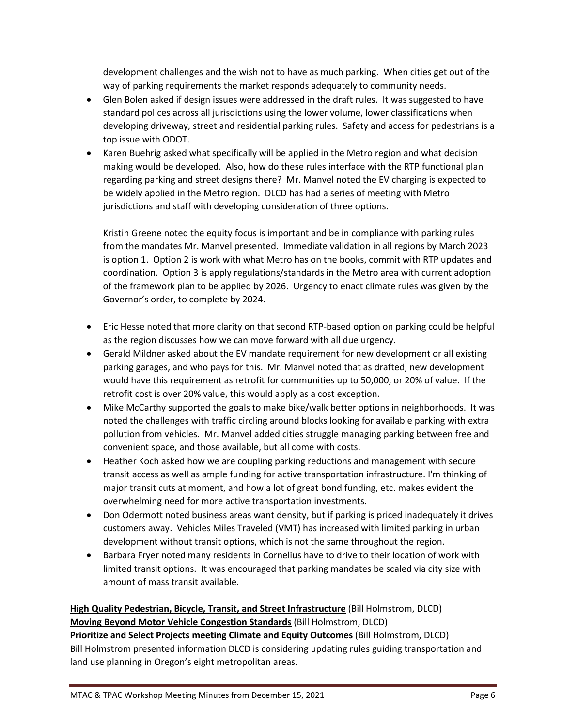development challenges and the wish not to have as much parking. When cities get out of the way of parking requirements the market responds adequately to community needs.

- Glen Bolen asked if design issues were addressed in the draft rules. It was suggested to have standard polices across all jurisdictions using the lower volume, lower classifications when developing driveway, street and residential parking rules. Safety and access for pedestrians is a top issue with ODOT.
- Karen Buehrig asked what specifically will be applied in the Metro region and what decision making would be developed. Also, how do these rules interface with the RTP functional plan regarding parking and street designs there? Mr. Manvel noted the EV charging is expected to be widely applied in the Metro region. DLCD has had a series of meeting with Metro jurisdictions and staff with developing consideration of three options.

Kristin Greene noted the equity focus is important and be in compliance with parking rules from the mandates Mr. Manvel presented. Immediate validation in all regions by March 2023 is option 1. Option 2 is work with what Metro has on the books, commit with RTP updates and coordination. Option 3 is apply regulations/standards in the Metro area with current adoption of the framework plan to be applied by 2026. Urgency to enact climate rules was given by the Governor's order, to complete by 2024.

- Eric Hesse noted that more clarity on that second RTP-based option on parking could be helpful as the region discusses how we can move forward with all due urgency.
- Gerald Mildner asked about the EV mandate requirement for new development or all existing parking garages, and who pays for this. Mr. Manvel noted that as drafted, new development would have this requirement as retrofit for communities up to 50,000, or 20% of value. If the retrofit cost is over 20% value, this would apply as a cost exception.
- Mike McCarthy supported the goals to make bike/walk better options in neighborhoods. It was noted the challenges with traffic circling around blocks looking for available parking with extra pollution from vehicles. Mr. Manvel added cities struggle managing parking between free and convenient space, and those available, but all come with costs.
- Heather Koch asked how we are coupling parking reductions and management with secure transit access as well as ample funding for active transportation infrastructure. I'm thinking of major transit cuts at moment, and how a lot of great bond funding, etc. makes evident the overwhelming need for more active transportation investments.
- Don Odermott noted business areas want density, but if parking is priced inadequately it drives customers away. Vehicles Miles Traveled (VMT) has increased with limited parking in urban development without transit options, which is not the same throughout the region.
- Barbara Fryer noted many residents in Cornelius have to drive to their location of work with limited transit options. It was encouraged that parking mandates be scaled via city size with amount of mass transit available.

## **High Quality Pedestrian, Bicycle, Transit, and Street Infrastructure** (Bill Holmstrom, DLCD) **Moving Beyond Motor Vehicle Congestion Standards** (Bill Holmstrom, DLCD)

**Prioritize and Select Projects meeting Climate and Equity Outcomes** (Bill Holmstrom, DLCD) Bill Holmstrom presented information DLCD is considering updating rules guiding transportation and land use planning in Oregon's eight metropolitan areas.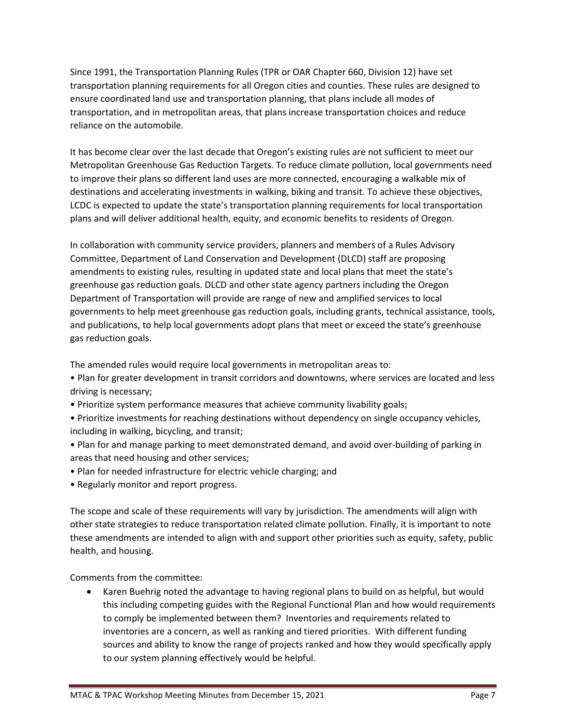Since 1991, the Transportation Planning Rules (TPR or OAR Chapter 660, Division 12) have set transportation planning requirements for all Oregon cities and counties. These rules are designed to ensure coordinated land use and transportation planning, that plans include all modes of transportation, and in metropolitan areas, that plans increase transportation choices and reduce reliance on the automobile.

It has become clear over the last decade that Oregon's existing rules are not sufficient to meet our Metropolitan Greenhouse Gas Reduction Targets. To reduce climate pollution, local governments need to improve their plans so different land uses are more connected, encouraging a walkable mix of destinations and accelerating investments in walking, biking and transit. To achieve these objectives, LCDC is expected to update the state's transportation planning requirements for local transportation plans and will deliver additional health, equity, and economic benefits to residents of Oregon.

In collaboration with community service providers, planners and members of a Rules Advisory Committee, Department of Land Conservation and Development (DLCD) staff are proposing amendments to existing rules, resulting in updated state and local plans that meet the state's greenhouse gas reduction goals. DLCD and other state agency partners including the Oregon Department of Transportation will provide are range of new and amplified services to local governments to help meet greenhouse gas reduction goals, including grants, technical assistance, tools, and publications, to help local governments adopt plans that meet or exceed the state's greenhouse gas reduction goals.

The amended rules would require local governments in metropolitan areas to:

- Plan for greater development in transit corridors and downtowns, where services are located and less driving is necessary;
- Prioritize system performance measures that achieve community livability goals;
- Prioritize investments for reaching destinations without dependency on single occupancy vehicles, including in walking, bicycling, and transit;
- Plan for and manage parking to meet demonstrated demand, and avoid over-building of parking in areas that need housing and other services;
- Plan for needed infrastructure for electric vehicle charging; and
- Regularly monitor and report progress.

The scope and scale of these requirements will vary by jurisdiction. The amendments will align with other state strategies to reduce transportation related climate pollution. Finally, it is important to note these amendments are intended to align with and support other priorities such as equity, safety, public health, and housing.

Comments from the committee:

• Karen Buehrig noted the advantage to having regional plans to build on as helpful, but would this including competing guides with the Regional Functional Plan and how would requirements to comply be implemented between them? Inventories and requirements related to inventories are a concern, as well as ranking and tiered priorities. With different funding sources and ability to know the range of projects ranked and how they would specifically apply to our system planning effectively would be helpful.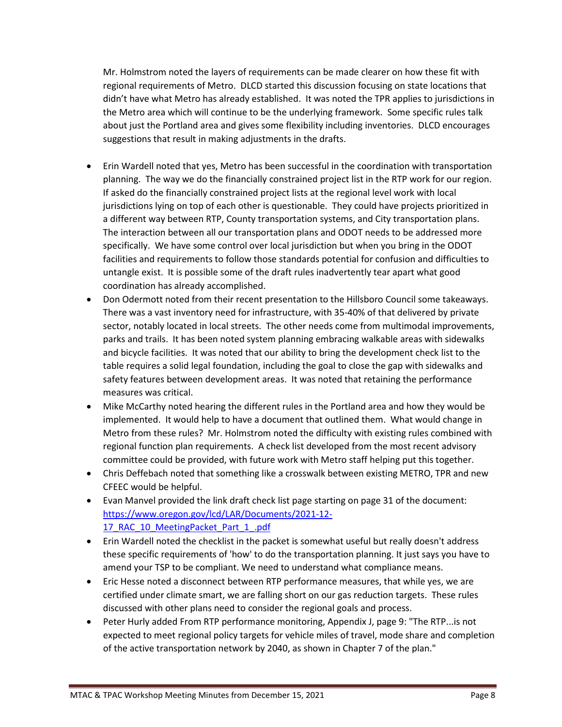Mr. Holmstrom noted the layers of requirements can be made clearer on how these fit with regional requirements of Metro. DLCD started this discussion focusing on state locations that didn't have what Metro has already established. It was noted the TPR applies to jurisdictions in the Metro area which will continue to be the underlying framework. Some specific rules talk about just the Portland area and gives some flexibility including inventories. DLCD encourages suggestions that result in making adjustments in the drafts.

- Erin Wardell noted that yes, Metro has been successful in the coordination with transportation planning. The way we do the financially constrained project list in the RTP work for our region. If asked do the financially constrained project lists at the regional level work with local jurisdictions lying on top of each other is questionable. They could have projects prioritized in a different way between RTP, County transportation systems, and City transportation plans. The interaction between all our transportation plans and ODOT needs to be addressed more specifically. We have some control over local jurisdiction but when you bring in the ODOT facilities and requirements to follow those standards potential for confusion and difficulties to untangle exist. It is possible some of the draft rules inadvertently tear apart what good coordination has already accomplished.
- Don Odermott noted from their recent presentation to the Hillsboro Council some takeaways. There was a vast inventory need for infrastructure, with 35-40% of that delivered by private sector, notably located in local streets. The other needs come from multimodal improvements, parks and trails. It has been noted system planning embracing walkable areas with sidewalks and bicycle facilities. It was noted that our ability to bring the development check list to the table requires a solid legal foundation, including the goal to close the gap with sidewalks and safety features between development areas. It was noted that retaining the performance measures was critical.
- Mike McCarthy noted hearing the different rules in the Portland area and how they would be implemented. It would help to have a document that outlined them. What would change in Metro from these rules? Mr. Holmstrom noted the difficulty with existing rules combined with regional function plan requirements. A check list developed from the most recent advisory committee could be provided, with future work with Metro staff helping put this together.
- Chris Deffebach noted that something like a crosswalk between existing METRO, TPR and new CFEEC would be helpful.
- Evan Manvel provided the link draft check list page starting on page 31 of the document: [https://www.oregon.gov/lcd/LAR/Documents/2021-12-](https://www.oregon.gov/lcd/LAR/Documents/2021-12-17_RAC_10_MeetingPacket_Part_1_.pdf) 17 RAC 10 MeetingPacket Part 1 .pdf
- Erin Wardell noted the checklist in the packet is somewhat useful but really doesn't address these specific requirements of 'how' to do the transportation planning. It just says you have to amend your TSP to be compliant. We need to understand what compliance means.
- Eric Hesse noted a disconnect between RTP performance measures, that while yes, we are certified under climate smart, we are falling short on our gas reduction targets. These rules discussed with other plans need to consider the regional goals and process.
- Peter Hurly added From RTP performance monitoring, Appendix J, page 9: "The RTP... is not expected to meet regional policy targets for vehicle miles of travel, mode share and completion of the active transportation network by 2040, as shown in Chapter 7 of the plan."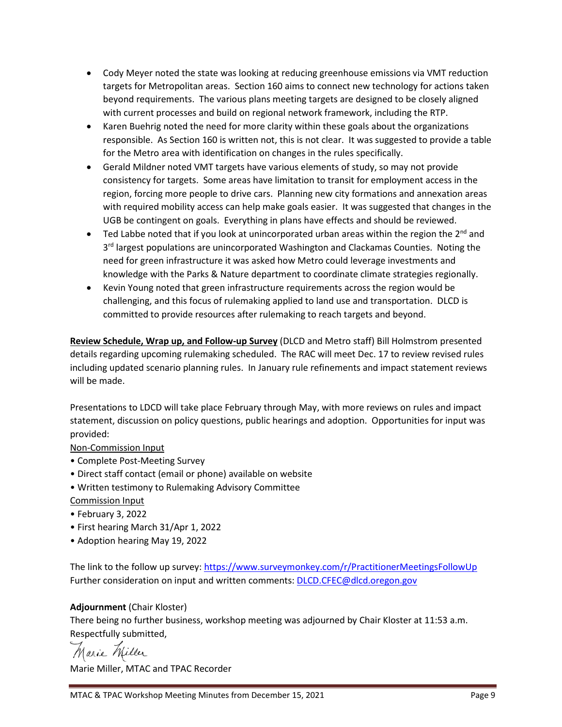- Cody Meyer noted the state was looking at reducing greenhouse emissions via VMT reduction targets for Metropolitan areas. Section 160 aims to connect new technology for actions taken beyond requirements. The various plans meeting targets are designed to be closely aligned with current processes and build on regional network framework, including the RTP.
- Karen Buehrig noted the need for more clarity within these goals about the organizations responsible. As Section 160 is written not, this is not clear. It was suggested to provide a table for the Metro area with identification on changes in the rules specifically.
- Gerald Mildner noted VMT targets have various elements of study, so may not provide consistency for targets. Some areas have limitation to transit for employment access in the region, forcing more people to drive cars. Planning new city formations and annexation areas with required mobility access can help make goals easier. It was suggested that changes in the UGB be contingent on goals. Everything in plans have effects and should be reviewed.
- Ted Labbe noted that if you look at unincorporated urban areas within the region the  $2^{nd}$  and 3<sup>rd</sup> largest populations are unincorporated Washington and Clackamas Counties. Noting the need for green infrastructure it was asked how Metro could leverage investments and knowledge with the Parks & Nature department to coordinate climate strategies regionally.
- Kevin Young noted that green infrastructure requirements across the region would be challenging, and this focus of rulemaking applied to land use and transportation. DLCD is committed to provide resources after rulemaking to reach targets and beyond.

**Review Schedule, Wrap up, and Follow-up Survey** (DLCD and Metro staff) Bill Holmstrom presented details regarding upcoming rulemaking scheduled. The RAC will meet Dec. 17 to review revised rules including updated scenario planning rules. In January rule refinements and impact statement reviews will be made.

Presentations to LDCD will take place February through May, with more reviews on rules and impact statement, discussion on policy questions, public hearings and adoption. Opportunities for input was provided:

#### Non-Commission Input

- Complete Post-Meeting Survey
- Direct staff contact (email or phone) available on website
- Written testimony to Rulemaking Advisory Committee
- Commission Input
- February 3, 2022
- First hearing March 31/Apr 1, 2022
- Adoption hearing May 19, 2022

The link to the follow up survey:<https://www.surveymonkey.com/r/PractitionerMeetingsFollowUp> Further consideration on input and written comments[: DLCD.CFEC@dlcd.oregon.gov](mailto:DLCD.CFEC@dlcd.oregon.gov)

### **Adjournment** (Chair Kloster)

There being no further business, workshop meeting was adjourned by Chair Kloster at 11:53 a.m. Respectfully submitted,

Marie Miller

Marie Miller, MTAC and TPAC Recorder